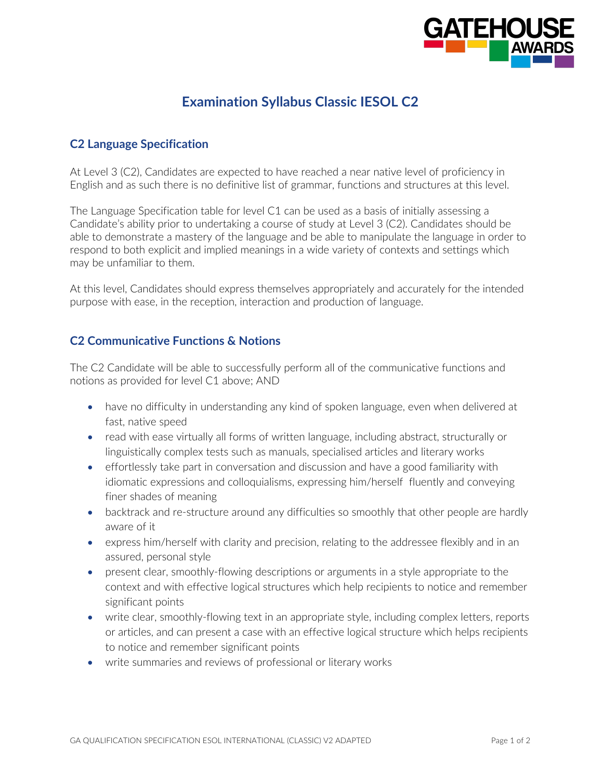

## **Examination Syllabus Classic IESOL C2**

## **C2 Language Specification**

At Level 3 (C2), Candidates are expected to have reached a near native level of proficiency in English and as such there is no definitive list of grammar, functions and structures at this level.

The Language Specification table for level C1 can be used as a basis of initially assessing a Candidate's ability prior to undertaking a course of study at Level 3 (C2). Candidates should be able to demonstrate a mastery of the language and be able to manipulate the language in order to respond to both explicit and implied meanings in a wide variety of contexts and settings which may be unfamiliar to them.

At this level, Candidates should express themselves appropriately and accurately for the intended purpose with ease, in the reception, interaction and production of language.

## **C2 Communicative Functions & Notions**

The C2 Candidate will be able to successfully perform all of the communicative functions and notions as provided for level C1 above; AND

- have no difficulty in understanding any kind of spoken language, even when delivered at fast, native speed
- read with ease virtually all forms of written language, including abstract, structurally or linguistically complex tests such as manuals, specialised articles and literary works
- effortlessly take part in conversation and discussion and have a good familiarity with idiomatic expressions and colloquialisms, expressing him/herself fluently and conveying finer shades of meaning
- backtrack and re-structure around any difficulties so smoothly that other people are hardly aware of it
- express him/herself with clarity and precision, relating to the addressee flexibly and in an assured, personal style
- present clear, smoothly-flowing descriptions or arguments in a style appropriate to the context and with effective logical structures which help recipients to notice and remember significant points
- write clear, smoothly-flowing text in an appropriate style, including complex letters, reports or articles, and can present a case with an effective logical structure which helps recipients to notice and remember significant points
- write summaries and reviews of professional or literary works